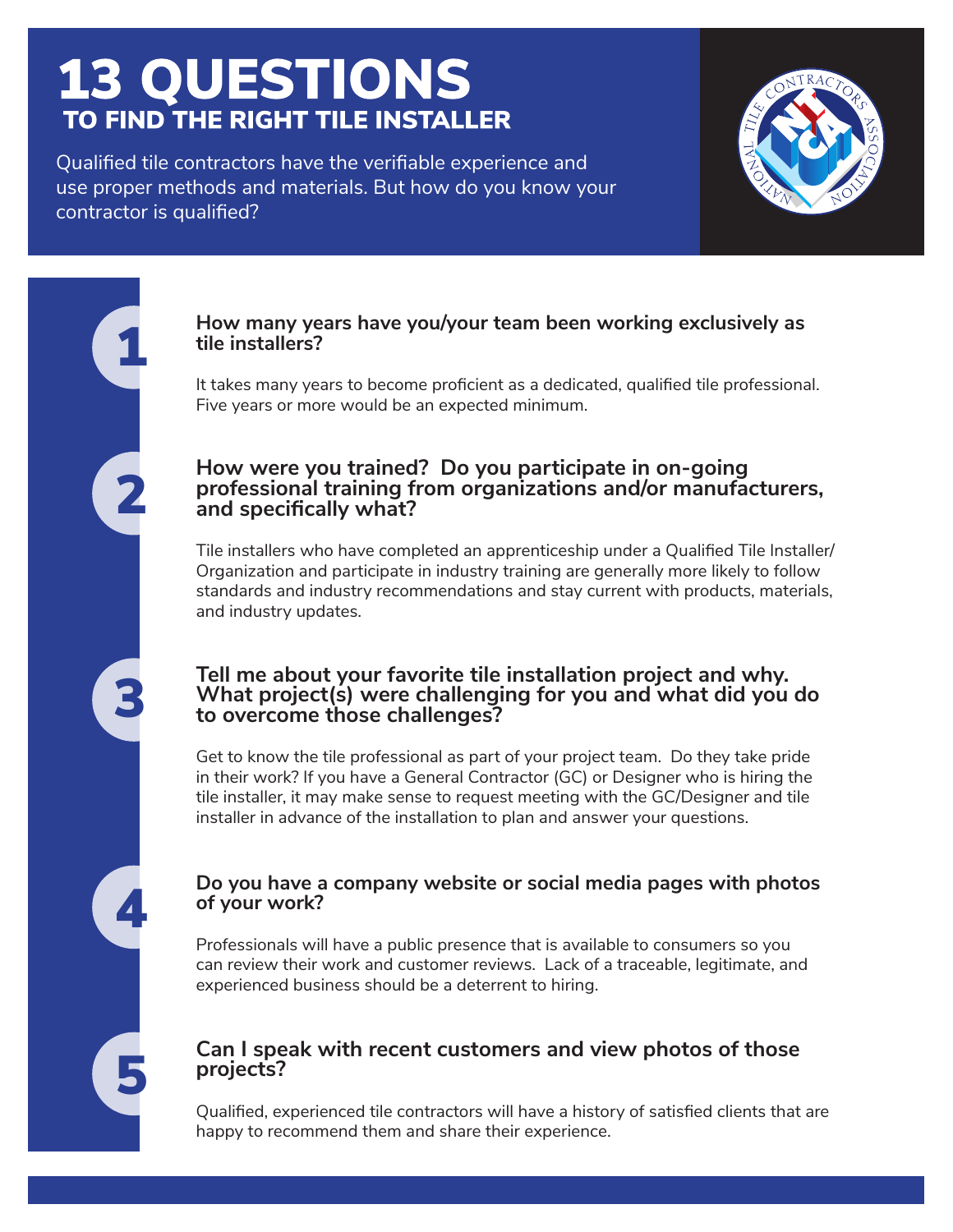## **13 QUESTIONS TO FIND THE RIGHT TILE INSTALLER**

Qualified tile contractors have the verifiable experience and use proper methods and materials. But how do you know your contractor is qualified?



# 2 1 4 3 5

#### **How many years have you/your team been working exclusively as tile installers?**

It takes many years to become proficient as a dedicated, qualified tile professional. Five years or more would be an expected minimum.

#### **How were you trained? Do you participate in on-going professional training from organizations and/or manufacturers, and specifically what?**

Tile installers who have completed an apprenticeship under a Qualified Tile Installer/ Organization and participate in industry training are generally more likely to follow standards and industry recommendations and stay current with products, materials, and industry updates.

#### **Tell me about your favorite tile installation project and why. What project(s) were challenging for you and what did you do to overcome those challenges?**

Get to know the tile professional as part of your project team. Do they take pride in their work? If you have a General Contractor (GC) or Designer who is hiring the tile installer, it may make sense to request meeting with the GC/Designer and tile installer in advance of the installation to plan and answer your questions.

#### **Do you have a company website or social media pages with photos of your work?**

Professionals will have a public presence that is available to consumers so you can review their work and customer reviews. Lack of a traceable, legitimate, and experienced business should be a deterrent to hiring.

#### **Can I speak with recent customers and view photos of those projects?**

Qualified, experienced tile contractors will have a history of satisfied clients that are happy to recommend them and share their experience.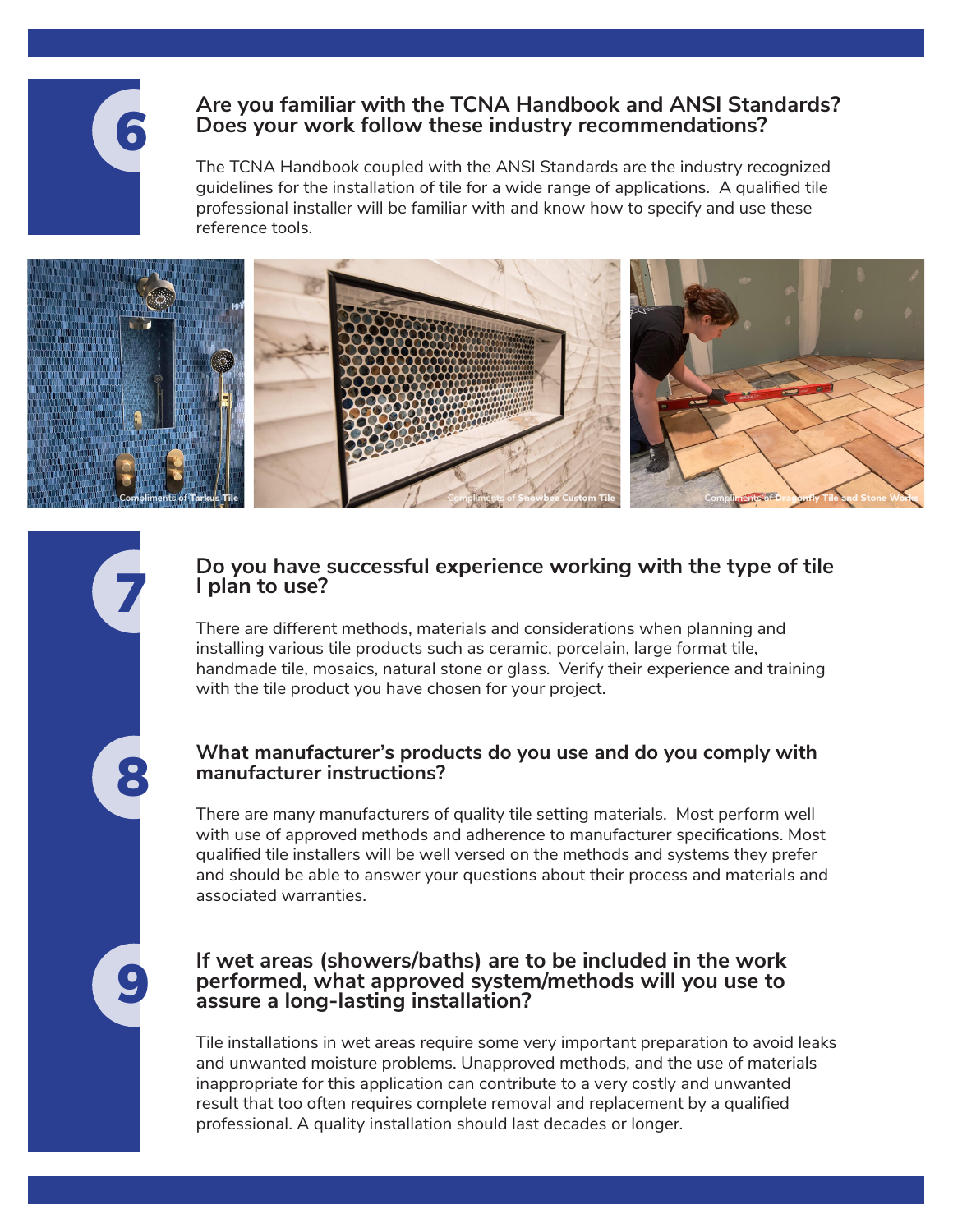

9

8

7

#### **Are you familiar with the TCNA Handbook and ANSI Standards? Does your work follow these industry recommendations?**

The TCNA Handbook coupled with the ANSI Standards are the industry recognized guidelines for the installation of tile for a wide range of applications. A qualified tile professional installer will be familiar with and know how to specify and use these reference tools.



#### **Do you have successful experience working with the type of tile I plan to use?**

There are different methods, materials and considerations when planning and installing various tile products such as ceramic, porcelain, large format tile, handmade tile, mosaics, natural stone or glass. Verify their experience and training with the tile product you have chosen for your project.

#### **What manufacturer's products do you use and do you comply with manufacturer instructions?**

There are many manufacturers of quality tile setting materials. Most perform well with use of approved methods and adherence to manufacturer specifications. Most qualified tile installers will be well versed on the methods and systems they prefer and should be able to answer your questions about their process and materials and associated warranties.

#### **If wet areas (showers/baths) are to be included in the work performed, what approved system/methods will you use to assure a long-lasting installation?**

Tile installations in wet areas require some very important preparation to avoid leaks and unwanted moisture problems. Unapproved methods, and the use of materials inappropriate for this application can contribute to a very costly and unwanted result that too often requires complete removal and replacement by a qualified professional. A quality installation should last decades or longer.